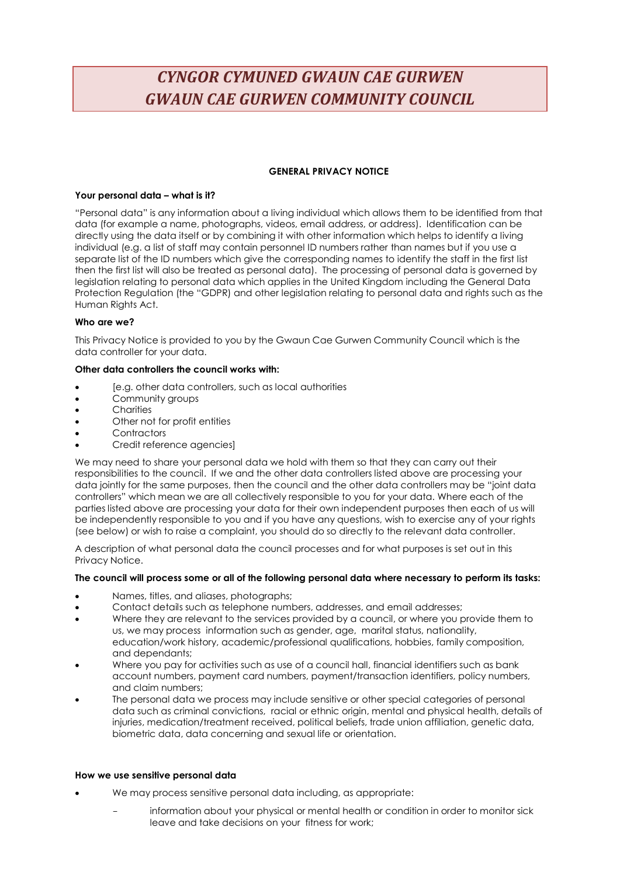# *CYNGOR CYMUNED GWAUN CAE GURWEN GWAUN CAE GURWEN COMMUNITY COUNCIL*

#### **GENERAL PRIVACY NOTICE**

## **Your personal data – what is it?**

"Personal data" is any information about a living individual which allows them to be identified from that data (for example a name, photographs, videos, email address, or address). Identification can be directly using the data itself or by combining it with other information which helps to identify a living individual (e.g. a list of staff may contain personnel ID numbers rather than names but if you use a separate list of the ID numbers which give the corresponding names to identify the staff in the first list then the first list will also be treated as personal data). The processing of personal data is governed by legislation relating to personal data which applies in the United Kingdom including the General Data Protection Regulation (the "GDPR) and other legislation relating to personal data and rights such as the Human Rights Act.

## **Who are we?**

This Privacy Notice is provided to you by the Gwaun Cae Gurwen Community Council which is the data controller for your data.

#### **Other data controllers the council works with:**

- [e.g. other data controllers, such as local authorities
- Community groups
- **Charities**
- Other not for profit entities
- **Contractors**
- Credit reference agencies]

We may need to share your personal data we hold with them so that they can carry out their responsibilities to the council. If we and the other data controllers listed above are processing your data jointly for the same purposes, then the council and the other data controllers may be "joint data controllers" which mean we are all collectively responsible to you for your data. Where each of the parties listed above are processing your data for their own independent purposes then each of us will be independently responsible to you and if you have any questions, wish to exercise any of your rights (see below) or wish to raise a complaint, you should do so directly to the relevant data controller.

A description of what personal data the council processes and for what purposes is set out in this Privacy Notice.

#### **The council will process some or all of the following personal data where necessary to perform its tasks:**

- Names, titles, and aliases, photographs;
- Contact details such as telephone numbers, addresses, and email addresses;
- Where they are relevant to the services provided by a council, or where you provide them to us, we may process information such as gender, age, marital status, nationality, education/work history, academic/professional qualifications, hobbies, family composition, and dependants;
- Where you pay for activities such as use of a council hall, financial identifiers such as bank account numbers, payment card numbers, payment/transaction identifiers, policy numbers, and claim numbers;
- The personal data we process may include sensitive or other special categories of personal data such as criminal convictions, racial or ethnic origin, mental and physical health, details of injuries, medication/treatment received, political beliefs, trade union affiliation, genetic data, biometric data, data concerning and sexual life or orientation.

#### **How we use sensitive personal data**

- We may process sensitive personal data including, as appropriate:
	- information about your physical or mental health or condition in order to monitor sick leave and take decisions on your fitness for work;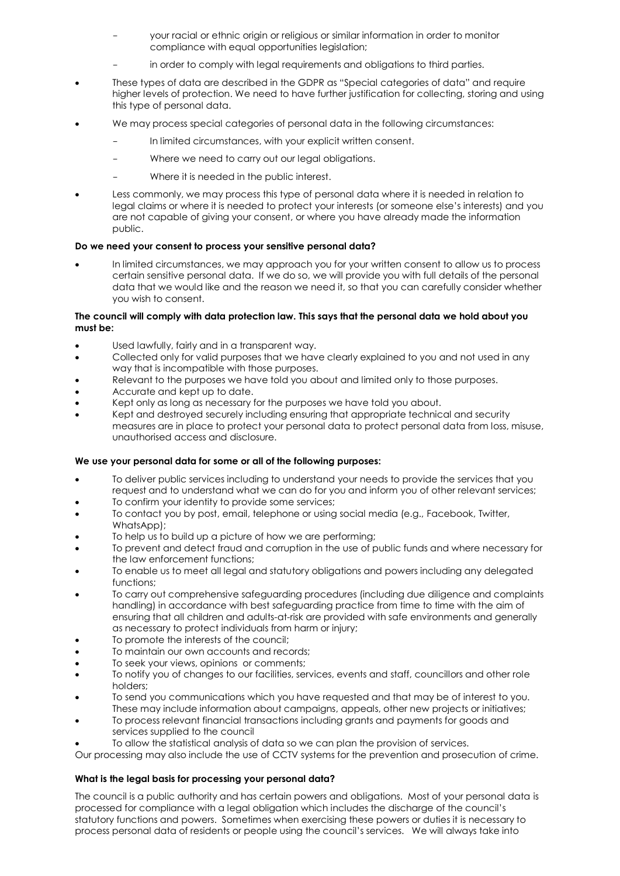- your racial or ethnic origin or religious or similar information in order to monitor compliance with equal opportunities legislation;
- in order to comply with legal requirements and obligations to third parties.
- These types of data are described in the GDPR as "Special categories of data" and require higher levels of protection. We need to have further justification for collecting, storing and using this type of personal data.
- We may process special categories of personal data in the following circumstances:
	- In limited circumstances, with your explicit written consent.
	- Where we need to carry out our legal obligations.
	- Where it is needed in the public interest.
- Less commonly, we may process this type of personal data where it is needed in relation to legal claims or where it is needed to protect your interests (or someone else's interests) and you are not capable of giving your consent, or where you have already made the information public.

## **Do we need your consent to process your sensitive personal data?**

 In limited circumstances, we may approach you for your written consent to allow us to process certain sensitive personal data. If we do so, we will provide you with full details of the personal data that we would like and the reason we need it, so that you can carefully consider whether you wish to consent.

## **The council will comply with data protection law. This says that the personal data we hold about you must be:**

- Used lawfully, fairly and in a transparent way.
- Collected only for valid purposes that we have clearly explained to you and not used in any way that is incompatible with those purposes.
- Relevant to the purposes we have told you about and limited only to those purposes.
- Accurate and kept up to date.
- Kept only as long as necessary for the purposes we have told you about.
- Kept and destroyed securely including ensuring that appropriate technical and security measures are in place to protect your personal data to protect personal data from loss, misuse, unauthorised access and disclosure.

#### **We use your personal data for some or all of the following purposes:**

- To deliver public services including to understand your needs to provide the services that you request and to understand what we can do for you and inform you of other relevant services;
- To confirm your identity to provide some services;
- To contact you by post, email, telephone or using social media (e.g., Facebook, Twitter, WhatsApp);
- To help us to build up a picture of how we are performing;
- To prevent and detect fraud and corruption in the use of public funds and where necessary for the law enforcement functions;
- To enable us to meet all legal and statutory obligations and powers including any delegated functions;
- To carry out comprehensive safeguarding procedures (including due diligence and complaints handling) in accordance with best safeguarding practice from time to time with the aim of ensuring that all children and adults-at-risk are provided with safe environments and generally as necessary to protect individuals from harm or injury;
- To promote the interests of the council;
- To maintain our own accounts and records;
- To seek your views, opinions or comments;
- To notify you of changes to our facilities, services, events and staff, councillors and other role holders;
- To send you communications which you have requested and that may be of interest to you. These may include information about campaigns, appeals, other new projects or initiatives;
- To process relevant financial transactions including grants and payments for goods and services supplied to the council
- To allow the statistical analysis of data so we can plan the provision of services.

Our processing may also include the use of CCTV systems for the prevention and prosecution of crime.

#### **What is the legal basis for processing your personal data?**

The council is a public authority and has certain powers and obligations. Most of your personal data is processed for compliance with a legal obligation which includes the discharge of the council's statutory functions and powers. Sometimes when exercising these powers or duties it is necessary to process personal data of residents or people using the council's services. We will always take into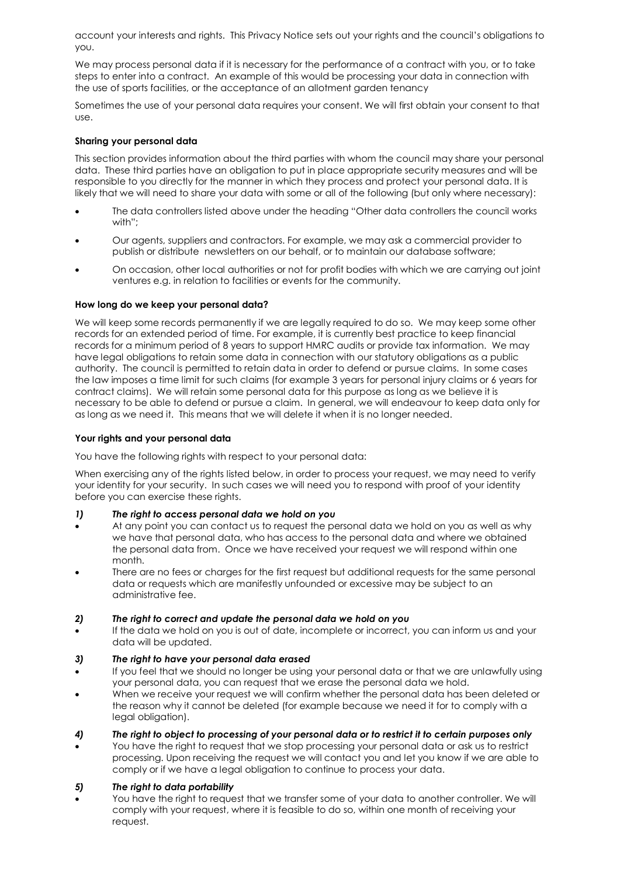account your interests and rights. This Privacy Notice sets out your rights and the council's obligations to you.

We may process personal data if it is necessary for the performance of a contract with you, or to take steps to enter into a contract. An example of this would be processing your data in connection with the use of sports facilities, or the acceptance of an allotment garden tenancy

Sometimes the use of your personal data requires your consent. We will first obtain your consent to that use.

## **Sharing your personal data**

This section provides information about the third parties with whom the council may share your personal data. These third parties have an obligation to put in place appropriate security measures and will be responsible to you directly for the manner in which they process and protect your personal data. It is likely that we will need to share your data with some or all of the following (but only where necessary):

- The data controllers listed above under the heading "Other data controllers the council works with";
- Our agents, suppliers and contractors. For example, we may ask a commercial provider to publish or distribute newsletters on our behalf, or to maintain our database software;
- On occasion, other local authorities or not for profit bodies with which we are carrying out joint ventures e.g. in relation to facilities or events for the community.

#### **How long do we keep your personal data?**

We will keep some records permanently if we are legally required to do so. We may keep some other records for an extended period of time. For example, it is currently best practice to keep financial records for a minimum period of 8 years to support HMRC audits or provide tax information. We may have legal obligations to retain some data in connection with our statutory obligations as a public authority. The council is permitted to retain data in order to defend or pursue claims. In some cases the law imposes a time limit for such claims (for example 3 years for personal injury claims or 6 years for contract claims). We will retain some personal data for this purpose as long as we believe it is necessary to be able to defend or pursue a claim. In general, we will endeavour to keep data only for as long as we need it. This means that we will delete it when it is no longer needed.

#### **Your rights and your personal data**

You have the following rights with respect to your personal data:

When exercising any of the rights listed below, in order to process your request, we may need to verify your identity for your security. In such cases we will need you to respond with proof of your identity before you can exercise these rights.

#### *1) The right to access personal data we hold on you*

- At any point you can contact us to request the personal data we hold on you as well as why we have that personal data, who has access to the personal data and where we obtained the personal data from. Once we have received your request we will respond within one month.
- There are no fees or charges for the first request but additional requests for the same personal data or requests which are manifestly unfounded or excessive may be subject to an administrative fee.

#### *2) The right to correct and update the personal data we hold on you*

 If the data we hold on you is out of date, incomplete or incorrect, you can inform us and your data will be updated.

#### *3) The right to have your personal data erased*

- If you feel that we should no longer be using your personal data or that we are unlawfully using your personal data, you can request that we erase the personal data we hold.
- When we receive your request we will confirm whether the personal data has been deleted or the reason why it cannot be deleted (for example because we need it for to comply with a legal obligation).
- *4) The right to object to processing of your personal data or to restrict it to certain purposes only*
- You have the right to request that we stop processing your personal data or ask us to restrict processing. Upon receiving the request we will contact you and let you know if we are able to comply or if we have a legal obligation to continue to process your data.

#### *5) The right to data portability*

 You have the right to request that we transfer some of your data to another controller. We will comply with your request, where it is feasible to do so, within one month of receiving your request.